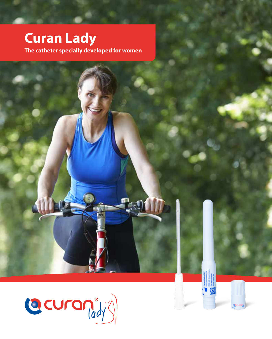# **Curan Lady**

The catheter specially developed for women

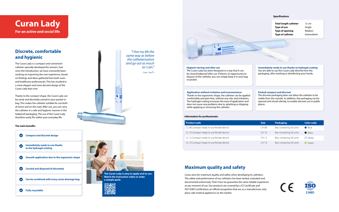

#### **The main benefits**

#### **Specifications**

**Total length catheter** 12 cm **Type of use** Single **Type of opening** Nelaton **Type of catheter** Intermittent

## **Curan Lady For an active and social life**

## **Discrete, comfortable and hygienic**

The Curan Lady is a compact and convenient catheter specially developed for women. Ever since the introduction, we have constantly been working on improving the user experience, based on findings and ideas gathered from both users and healthcare professionals. This has resulted in a more elegant and more discreet design of the Curan Lady than ever.

Thanks to the compact shape, the Curan Lady can be easily and discretely carried in your pocket or bag. This makes the catheter suitable for use both at home and on the road. After use, you can carry the catheter in a safe and hygienic manner in the leakproof packaging. The use of the Curan Lady therefore easily fits within your everyday life.

### **Maximum quality and safety**

Curan aims for maximum quality and safety when developing its catheters. The safety and performance of our catheters has been tested, evaluated and documented extensively. That's how we guarantee the same reliable experience at any moment of use. Our products are covered by a CE Certificate and ISO13485 Certification; an official recognition that we, as a manufacturer, only place safe medical appliances on the market.

*"I live my life the same way as before the catheterisation and go out as much as I can."* 

| <b>Product code</b>                      | <b>Size</b> | <b>Packaging</b>        | Color code       |
|------------------------------------------|-------------|-------------------------|------------------|
| CL 08 Compact ready to use female device | CH 08       | Box containing 30 units | $\bullet$ Blue   |
| CL 10 Compact ready to use female device | CH 10       | Box containing 30 units | $\bullet$ Black  |
| CL 12 Compact ready to use female device | CH 12       | Box containing 30 units | $\bigcirc$ White |
| CL 14 Compact ready to use female device | CH 14       | Box containing 30 units | Green            |

**The Curan Lady is easy to apply and to use.** 

**Watch the instruction video or order a sample pack:**



#### **Hygienic during and after use**

The Curan Lady has been designed in a way that it can Ine Curan Lady has been designed in a way that it can are to use the Curan Lady directly from the - Irma Smiths - Irma Smiths - Irma Smiths - Irma Smiths - Irma Smiths - Irma Smiths - Irma Smiths - Irma Smiths - Irma Smith dispose of the catheter, you can simply keep it in your bag or pocket.

#### **Application without irritation and inconvenience**

Thanks to the ergonomic shape, the catheter can be applied comfortably and pain-free, without any risks and irritations. The hydrogel coating increases the ease of application and does not cause any problems due to splashing or dripping while applying or removing the catheter.

#### **Packed compact and discreet**

The discrete packaging does not allow the catheter to be visible from the outside. In addition, the packaging can be opened and closed silently, to enable discreet use in public





places.

**Immediately ready to use thanks to hydrogel coating** You are able to use the Curan Lady directly from the

#### **Information for professionals:**